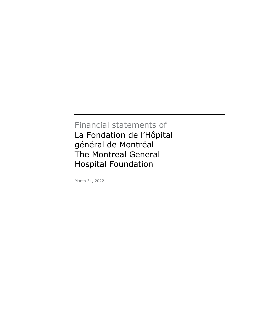# Financial statements of La Fondation de l'Hôpital général de Montréal The Montreal General Hospital Foundation

March 31, 2022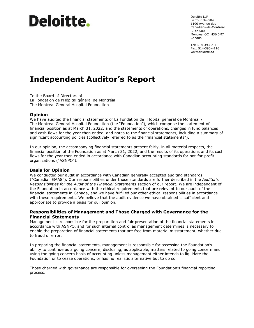# **Deloitte**.

Deloitte LLP La Tour Deloitte 1190 Avenue des Canadiens-de-Montréal Suite 500 Montréal QC H3B 0M7 Canada

Tel: 514-393-7115 Fax: 514-390-4116 www.deloitte.ca

# **Independent Auditor's Report**

To the Board of Directors of La Fondation de l'Hôpital général de Montréal The Montreal General Hospital Foundation

#### **Opinion**

We have audited the financial statements of La Fondation de l'Hôpital général de Montréal / The Montreal General Hospital Foundation (the "Foundation"), which comprise the statement of financial position as at March 31, 2022, and the statements of operations, changes in fund balances and cash flows for the year then ended, and notes to the financial statements, including a summary of significant accounting policies (collectively referred to as the "financial statements").

In our opinion, the accompanying financial statements present fairly, in all material respects, the financial position of the Foundation as at March 31, 2022, and the results of its operations and its cash flows for the year then ended in accordance with Canadian accounting standards for not-for-profit organizations ("ASNPO").

#### **Basis for Opinion**

We conducted our audit in accordance with Canadian generally accepted auditing standards ("Canadian GAAS"). Our responsibilities under those standards are further described in the *Auditor's Responsibilities for the Audit of the Financial Statements* section of our report. We are independent of the Foundation in accordance with the ethical requirements that are relevant to our audit of the financial statements in Canada, and we have fulfilled our other ethical responsibilities in accordance with these requirements. We believe that the audit evidence we have obtained is sufficient and appropriate to provide a basis for our opinion.

#### **Responsibilities of Management and Those Charged with Governance for the Financial Statements**

Management is responsible for the preparation and fair presentation of the financial statements in accordance with ASNPO, and for such internal control as management determines is necessary to enable the preparation of financial statements that are free from material misstatement, whether due to fraud or error.

In preparing the financial statements, management is responsible for assessing the Foundation's ability to continue as a going concern, disclosing, as applicable, matters related to going concern and using the going concern basis of accounting unless management either intends to liquidate the Foundation or to cease operations, or has no realistic alternative but to do so.

Those charged with governance are responsible for overseeing the Foundation's financial reporting process.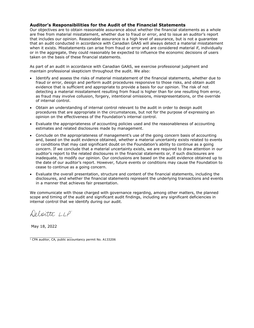#### **Auditor's Responsibilities for the Audit of the Financial Statements**

Our objectives are to obtain reasonable assurance about whether the financial statements as a whole are free from material misstatement, whether due to fraud or error, and to issue an auditor's report that includes our opinion. Reasonable assurance is a high level of assurance, but is not a guarantee that an audit conducted in accordance with Canadian GAAS will always detect a material misstatement when it exists. Misstatements can arise from fraud or error and are considered material if, individually or in the aggregate, they could reasonably be expected to influence the economic decisions of users taken on the basis of these financial statements.

As part of an audit in accordance with Canadian GAAS, we exercise professional judgment and maintain professional skepticism throughout the audit. We also:

- Identify and assess the risks of material misstatement of the financial statements, whether due to fraud or error, design and perform audit procedures responsive to those risks, and obtain audit evidence that is sufficient and appropriate to provide a basis for our opinion. The risk of not detecting a material misstatement resulting from fraud is higher than for one resulting from error, as fraud may involve collusion, forgery, intentional omissions, misrepresentations, or the override of internal control.
- Obtain an understanding of internal control relevant to the audit in order to design audit procedures that are appropriate in the circumstances, but not for the purpose of expressing an opinion on the effectiveness of the Foundation's internal control.
- Evaluate the appropriateness of accounting policies used and the reasonableness of accounting estimates and related disclosures made by management.
- Conclude on the appropriateness of management's use of the going concern basis of accounting and, based on the audit evidence obtained, whether a material uncertainty exists related to events or conditions that may cast significant doubt on the Foundation's ability to continue as a going concern. If we conclude that a material uncertainty exists, we are required to draw attention in our auditor's report to the related disclosures in the financial statements or, if such disclosures are inadequate, to modify our opinion. Our conclusions are based on the audit evidence obtained up to the date of our auditor's report. However, future events or conditions may cause the Foundation to cease to continue as a going concern.
- Evaluate the overall presentation, structure and content of the financial statements, including the disclosures, and whether the financial statements represent the underlying transactions and events in a manner that achieves fair presentation.

We communicate with those charged with governance regarding, among other matters, the planned scope and timing of the audit and significant audit findings, including any significant deficiencies in internal control that we identify during our audit.

Deloitte LLP

May 18, 2022

<sup>1&</sup>lt;br> **T** CPA auditor, CA, public accountancy permit No. A133206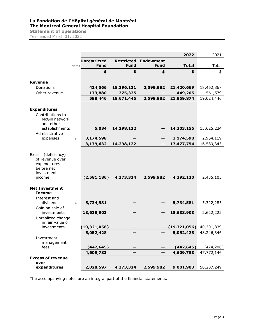# **La Fondation de l'Hôpital général de Montréal The Montreal General Hospital Foundation Statement of operations**

Year ended March 31, 2022

|                            |                |                     |                   |                  | 2022         | 2021       |
|----------------------------|----------------|---------------------|-------------------|------------------|--------------|------------|
|                            |                | <b>Unrestricted</b> | <b>Restricted</b> | <b>Endowment</b> |              |            |
|                            | Notes          | <b>Fund</b>         | <b>Fund</b>       | <b>Fund</b>      | <b>Total</b> | Total      |
|                            |                | \$                  | \$                | \$               | \$           | \$         |
|                            |                |                     |                   |                  |              |            |
| <b>Revenue</b>             |                |                     |                   |                  |              |            |
| Donations                  |                | 424,566             | 18,396,121        | 2,599,982        | 21,420,669   | 18,462,867 |
| Other revenue              |                | 173,880             | 275,325           |                  | 449,205      | 561,579    |
|                            |                | 598,446             | 18,671,446        | 2,599,982        | 21,869,874   | 19,024,446 |
| <b>Expenditures</b>        |                |                     |                   |                  |              |            |
| Contributions to           |                |                     |                   |                  |              |            |
| McGill network             |                |                     |                   |                  |              |            |
| and other                  |                |                     |                   |                  |              |            |
| establishments             |                | 5,034               | 14,298,122        |                  | 14,303,156   | 13,625,224 |
| Administrative             |                |                     |                   |                  |              |            |
| expenses                   | 6              | 3,174,598           |                   |                  | 3,174,598    | 2,964,119  |
|                            |                | 3,179,632           | 14,298,122        |                  | 17,477,754   | 16,589,343 |
| Excess (deficiency)        |                |                     |                   |                  |              |            |
| of revenue over            |                |                     |                   |                  |              |            |
| expenditures<br>before net |                |                     |                   |                  |              |            |
| investment                 |                |                     |                   |                  |              |            |
| income                     |                | (2,581,186)         | 4,373,324         | 2,599,982        | 4,392,120    | 2,435,103  |
|                            |                |                     |                   |                  |              |            |
| <b>Net Investment</b>      |                |                     |                   |                  |              |            |
| <b>Income</b>              |                |                     |                   |                  |              |            |
| Interest and<br>dividends  | $\overline{4}$ | 5,734,581           |                   |                  | 5,734,581    | 5,322,285  |
| Gain on sale of            |                |                     |                   |                  |              |            |
| investments                |                | 18,638,903          |                   |                  | 18,638,903   | 2,622,222  |
| Unrealized change          |                |                     |                   |                  |              |            |
| in fair value of           |                |                     |                   |                  |              |            |
| investments                | $\overline{4}$ | (19, 321, 056)      |                   |                  | (19,321,056) | 40,301,839 |
|                            |                | 5,052,428           |                   |                  | 5,052,428    | 48,246,346 |
| Investment                 |                |                     |                   |                  |              |            |
| management<br>fees         |                | (442, 645)          |                   |                  | (442, 645)   | (474, 200) |
|                            |                | 4,609,783           |                   |                  | 4,609,783    | 47,772,146 |
| <b>Excess of revenue</b>   |                |                     |                   |                  |              |            |
| over                       |                |                     |                   |                  |              |            |
| expenditures               |                | 2,028,597           | 4,373,324         | 2,599,982        | 9,001,903    | 50,207,249 |

The accompanying notes are an integral part of the financial statements.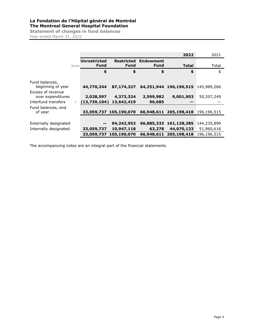# **La Fondation de l'Hôpital général de Montréal The Montreal General Hospital Foundation**

**Statement of changes in fund balances**  Year ended March 31, 2022

|                                        |              |                     |                        |                  | 2022                   | 2021        |
|----------------------------------------|--------------|---------------------|------------------------|------------------|------------------------|-------------|
|                                        |              | <b>Unrestricted</b> | <b>Restricted</b>      | <b>Endowment</b> |                        |             |
|                                        | <b>Notes</b> | Fund                | Fund                   | <b>Fund</b>      | <b>Total</b>           | Total       |
|                                        |              | \$                  | \$                     | \$               | \$                     | \$          |
| Fund balances,                         |              |                     |                        |                  |                        |             |
| beginning of year                      |              | 44,770,244          | 87,174,327             |                  | 64,251,944 196,196,515 | 145,989,266 |
| Excess of revenue<br>over expenditures |              | 2,028,597           | 4,373,324              | 2,599,982        | 9,001,903              | 50,207,249  |
| Interfund transfers                    | 7            | (13,739,104)        | 13,642,419             | 96,685           |                        |             |
| Fund balances, end                     |              |                     |                        |                  |                        |             |
| of year                                |              |                     | 33,059,737 105,190,070 |                  | 66,948,611 205,198,418 | 196,196,515 |
|                                        |              |                     |                        |                  |                        |             |
| Externally designated                  |              |                     | 94,242,952             | 66,885,333       | 161,128,285            | 144,235,899 |
| Internally designated                  |              | 33,059,737          | 10,947,118             | 63,278           | 44,070,133             | 51,960,616  |
|                                        |              |                     | 33,059,737 105,190,070 | 66,948,611       | 205,198,418            | 196,196,515 |

The accompanying notes are an integral part of the financial statements.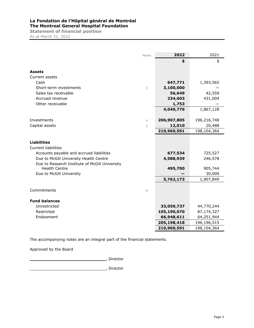# **La Fondation de l'Hôpital général de Montréal The Montreal General Hospital Foundation**

**Statement of financial position**  As at March 31, 2022

|                                                | <b>Notes</b>   | 2022        | 2021        |
|------------------------------------------------|----------------|-------------|-------------|
|                                                |                | \$          | \$          |
| <b>Assets</b>                                  |                |             |             |
| Current assets                                 |                |             |             |
| Cash                                           |                | 647,771     | 1,393,565   |
| Short-term investments                         | 3              | 3,100,000   |             |
| Sales tax receivable                           |                | 56,649      | 42,559      |
| Accrued revenue                                |                | 234,603     | 431,004     |
| Other receivable                               |                | 1,753       |             |
|                                                |                | 4,040,776   | 1,867,128   |
|                                                |                |             |             |
| Investments                                    | $\overline{4}$ | 206,907,805 | 196,216,748 |
| Capital assets                                 | 5              | 12,010      | 20,488      |
|                                                |                | 210,960,591 | 198,104,364 |
|                                                |                |             |             |
| <b>Liabilities</b>                             |                |             |             |
| Current liabilities                            |                |             |             |
| Accounts payable and accrued liabilities       |                | 677,534     | 725,527     |
| Due to McGill University Health Centre         |                | 4,588,939   | 246,578     |
| Due to Research Institute of McGill University |                |             |             |
| <b>Health Centre</b>                           |                | 495,700     | 905,744     |
| Due to McGill University                       |                |             | 30,000      |
|                                                |                | 5,762,173   | 1,907,849   |
|                                                |                |             |             |
| Commitments                                    | $\overline{9}$ |             |             |
|                                                |                |             |             |
| <b>Fund balances</b>                           |                |             |             |
| Unrestricted                                   |                | 33,059,737  | 44,770,244  |
| Restricted                                     |                | 105,190,070 | 87,174,327  |
| Endowment                                      |                | 66,948,611  | 64,251,944  |
|                                                |                | 205,198,418 | 196,196,515 |
|                                                |                | 210,960,591 | 198,104,364 |

The accompanying notes are an integral part of the financial statements.

Approved by the Board

, Director

, Director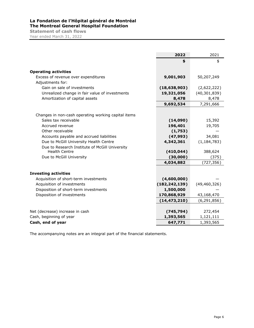# **La Fondation de l'Hôpital général de Montréal The Montreal General Hospital Foundation Statement of cash flows**

Year ended March 31, 2022

|                                                     | 2022            | 2021           |
|-----------------------------------------------------|-----------------|----------------|
|                                                     | \$              | \$             |
| <b>Operating activities</b>                         |                 |                |
| Excess of revenue over expenditures                 | 9,001,903       | 50,207,249     |
| Adjustments for:                                    |                 |                |
| Gain on sale of investments                         | (18, 638, 903)  | (2,622,222)    |
| Unrealized change in fair value of investments      | 19,321,056      | (40, 301, 839) |
| Amortization of capital assets                      | 8,478           | 8,478          |
|                                                     | 9,692,534       | 7,291,666      |
| Changes in non-cash operating working capital items |                 |                |
| Sales tax receivable                                | (14,090)        | 15,392         |
| Accrued revenue                                     | 196,401         | 19,705         |
| Other receivable                                    | (1,753)         |                |
| Accounts payable and accrued liabilities            | (47, 993)       | 34,081         |
| Due to McGill University Health Centre              | 4,342,361       | (1, 184, 783)  |
| Due to Research Institute of McGill University      |                 |                |
| <b>Health Centre</b>                                | (410, 044)      | 388,624        |
| Due to McGill University                            | (30,000)        | (375)          |
|                                                     | 4,034,882       | (727, 356)     |
| <b>Investing activities</b>                         |                 |                |
| Acquisition of short-term investments               | (4,600,000)     |                |
| Acquisition of investments                          | (182, 242, 139) | (49, 460, 326) |
| Disposition of short-term investments               | 1,500,000       |                |
| Disposition of investments                          | 170,868,929     | 43,168,470     |
|                                                     | (14, 473, 210)  | (6, 291, 856)  |
|                                                     |                 |                |
| Net (decrease) increase in cash                     | (745, 794)      | 272,454        |
| Cash, beginning of year                             | 1,393,565       | 1,121,111      |
| Cash, end of year                                   | 647,771         | 1,393,565      |

The accompanying notes are an integral part of the financial statements.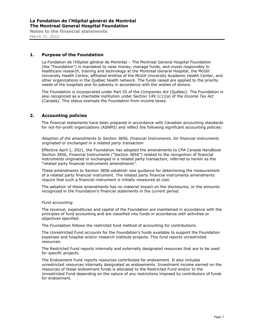#### **1. Purpose of the Foundation**

La Fondation de l'Hôpital général de Montréal – The Montreal General Hospital Foundation (the "Foundation") is mandated to raise money, manage funds, and invest responsibly in healthcare research, training and technology at the Montreal General Hospital, the McGill University Health Centre, affiliated entities of the McGill University Academic Health Center, and other organizations in the Québec health network. The funds raised are applied to the priority needs of the hospitals and its patients in accordance with the wishes of donors.

The Foundation is incorporated under Part III of the *Companies Act* (Québec). The Foundation is also recognized as a charitable institution under Section 149.1(1)(a) of the *Income Tax Act* (Canada). This status exempts the Foundation from income taxes.

#### **2. Accounting policies**

The financial statements have been prepared in accordance with Canadian accounting standards for not-for-profit organizations (ASNPO) and reflect the following significant accounting policies:

*Adoption of the amendments to Section 3856, Financial Instruments, for financial instruments originated or exchanged in a related party transaction* 

Effective April 1, 2021, the Foundation has adopted the amendments to *CPA Canada Handbook* Section 3856, Financial Instruments ("Section 3856") related to the recognition of financial instruments originated or exchanged in a related party transaction, referred to herein as the "related party financial instruments amendments".

These amendments to Section 3856 establish new guidance for determining the measurement of a related party financial instrument. The related party financial instruments amendments require that such a financial instrument is initially measured at cost.

The adoption of these amendments has no material impact on the disclosures, or the amounts recognized in the Foundation's financial statements in the current period.

#### *Fund accounting*

The revenue, expenditures and capital of the Foundation are maintained in accordance with the principles of fund accounting and are classified into funds in accordance with activities or objectives specified.

The Foundation follows the restricted fund method of accounting for contributions.

The Unrestricted Fund accounts for the Foundation's funds available to support the Foundation expenses and hospital and/or research institute projects. This fund reports unrestricted resources.

The Restricted Fund reports internally and externally designated resources that are to be used for specific projects.

The Endowment Fund reports resources contributed for endowment. It also includes unrestricted resources internally designated as endowments. Investment income earned on the resources of these endowment funds is allocated to the Restricted Fund and/or to the Unrestricted Fund depending on the nature of any restrictions imposed by contributors of funds for endowment.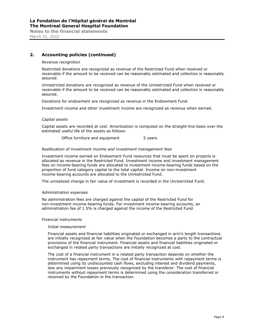## **2. Accounting policies (continued)**

#### *Revenue recognition*

Restricted donations are recognized as revenue of the Restricted Fund when received or receivable if the amount to be received can be reasonably estimated and collection is reasonably assured.

Unrestricted donations are recognized as revenue of the Unrestricted Fund when received or receivable if the amount to be received can be reasonably estimated and collection is reasonably assured.

Donations for endowment are recognized as revenue in the Endowment Fund.

Investment income and other investment income are recognized as revenue when earned.

#### *Capital assets*

Capital assets are recorded at cost. Amortization is computed on the straight-line basis over the estimated useful life of the assets as follows:

Office furniture and equipment 5 years

#### *Reallocation of investment income and investment management fees*

Investment income earned on Endowment Fund resources that must be spent on projects is allocated as revenue in the Restricted Fund. Investment income and investment management fees on income-bearing funds are allocated to investment income-bearing funds based on the proportion of fund category capital to the total capital. Income on non-investment income-bearing accounts are allocated to the Unrestricted Fund.

The unrealized change in fair value of investment is recorded in the Unrestricted Fund.

#### *Administration expenses*

No administration fees are charged against the capital of the Restricted Fund for non-investment income-bearing funds. For investment income-bearing accounts, an administration fee of 1.5% is charged against the income of the Restricted Fund.

#### *Financial instruments*

#### *Initial measurement*

Financial assets and financial liabilities originated or exchanged in arm's length transactions are initially recognized at fair value when the Foundation becomes a party to the contractual provisions of the financial instrument. Financial assets and financial liabilities originated or exchanged in related party transactions are initially recognized at cost.

The cost of a financial instrument in a related party transaction depends on whether the instrument has repayment terms. The cost of financial instruments with repayment terms is determined using its undiscounted cash flows, excluding interest and dividend payments, less any impairment losses previously recognized by the transferor. The cost of financial instruments without repayment terms is determined using the consideration transferred or received by the Foundation in the transaction.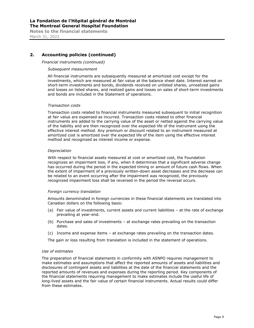## **2. Accounting policies (continued)**

*Financial instruments (continued)*

#### *Subsequent measurement*

All financial instruments are subsequently measured at amortized cost except for the investments, which are measured at fair value at the balance sheet date. Interest earned on short-term investments and bonds, dividends received on unlisted shares, unrealized gains and losses on listed shares, and realized gains and losses on sales of short-term investments and bonds are included in the Statement of operations.

#### *Transaction costs*

Transaction costs related to financial instruments measured subsequent to initial recognition at fair value are expensed as incurred. Transaction costs related to other financial instruments are added to the carrying value of the asset or netted against the carrying value of the liability and are then recognized over the expected life of the instrument using the effective interest method. Any premium or discount related to an instrument measured at amortized cost is amortized over the expected life of the item using the effective interest method and recognized as interest income or expense.

#### *Depreciation*

With respect to financial assets measured at cost or amortized cost, the Foundation recognizes an impairment loss, if any, when it determines that a significant adverse change has occurred during the period in the expected timing or amount of future cash flows. When the extent of impairment of a previously written-down asset decreases and the decrease can be related to an event occurring after the impairment was recognized, the previously recognized impairment loss shall be reversed in the period the reversal occurs.

#### *Foreign currency translation*

Amounts denominated in foreign currencies in these financial statements are translated into Canadian dollars on the following basis:

- (a) Fair value of investments, current assets and current liabilities at the rate of exchange prevailing at year-end.
- (b) Purchase and sales of investments at exchange rates prevailing on the transaction dates.
- (c) Income and expense items at exchange rates prevailing on the transaction dates.

The gain or loss resulting from translation is included in the statement of operations.

#### *Use of estimates*

The preparation of financial statements in conformity with ASNPO requires management to make estimates and assumptions that affect the reported amounts of assets and liabilities and disclosures of contingent assets and liabilities at the date of the financial statements and the reported amounts of revenues and expenses during the reporting period. Key components of the financial statements requiring management to make estimates include the useful life of long-lived assets and the fair value of certain financial instruments. Actual results could differ from these estimates.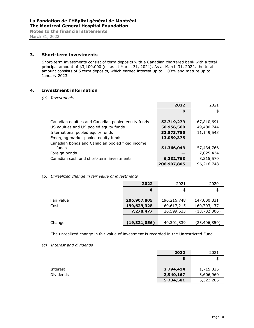#### **3. Short-term investments**

Short-term investments consist of term deposits with a Canadian chartered bank with a total principal amount of \$3,100,000 (nil as at March 31, 2021). As at March 31, 2022, the total amount consists of 5 term deposits, which earned interest up to 1.03% and mature up to January 2023.

#### **4. Investment information**

*(a) Investments*

|                                                    | 2022        | 2021        |
|----------------------------------------------------|-------------|-------------|
|                                                    | \$          | \$          |
|                                                    |             |             |
| Canadian equities and Canadian pooled equity funds | 52,719,279  | 67,810,691  |
| US equities and US pooled equity funds             | 50,956,560  | 49,480,744  |
| International pooled equity funds                  | 32,573,785  | 11,149,543  |
| Emerging market pooled equity funds                | 13,059,375  |             |
| Canadian bonds and Canadian pooled fixed income    |             |             |
| funds                                              | 51,366,043  | 57,434,766  |
| Foreign bonds                                      |             | 7,025,434   |
| Canadian cash and short-term investments           | 6,232,763   | 3,315,570   |
|                                                    | 206,907,805 | 196,216,748 |

#### *(b) Unrealized change in fair value of investments*

|            | 2022           | 2021        | 2020           |
|------------|----------------|-------------|----------------|
|            | \$             | \$          | \$             |
|            |                |             |                |
| Fair value | 206,907,805    | 196,216,748 | 147,000,831    |
| Cost       | 199,629,328    | 169,617,215 | 160,703,137    |
|            | 7,278,477      | 26,599,533  | (13,702,306)   |
|            |                |             |                |
| Change     | (19, 321, 056) | 40,301,839  | (23, 406, 850) |

The unrealized change in fair value of investment is recorded in the Unrestricted Fund.

*(c) Interest and dividends*

|                  | 2022<br>2021           |  |
|------------------|------------------------|--|
|                  | \$                     |  |
| Interest         | 2,794,414<br>1,715,325 |  |
| <b>Dividends</b> | 2,940,167<br>3,606,960 |  |
|                  | 5,322,285<br>5,734,581 |  |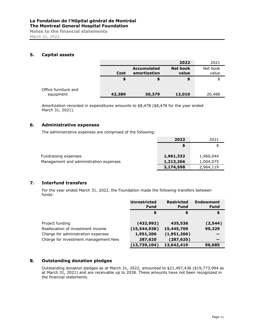March 31, 2022

#### **5. Capital assets**

|                                   |        |                                    | 2022                     | 2021              |
|-----------------------------------|--------|------------------------------------|--------------------------|-------------------|
|                                   | Cost   | <b>Accumulated</b><br>amortization | <b>Net book</b><br>value | Net book<br>value |
|                                   | œ      |                                    | \$                       | \$                |
| Office furniture and<br>equipment | 42,389 | 30,379                             | 12,010                   | 20,488            |

Amortization recorded in expenditures amounts to \$8,478 (\$8,478 for the year ended March 31, 2021).

#### **6. Administrative expenses**

The administrative expenses are comprised of the following:

|                                        | 2022      | 2021      |
|----------------------------------------|-----------|-----------|
|                                        | S         |           |
| Fundraising expenses                   | 1,961,332 | 1,960,044 |
| Management and administration expenses | 1,213,266 | 1,004,075 |
|                                        | 3,174,598 | 2,964,119 |

#### **7. Interfund transfers**

For the year ended March 31, 2022, the Foundation made the following transfers between funds:

|                                       | <b>Unrestricted</b><br><b>Fund</b> | <b>Restricted</b><br>Fund | <b>Endowment</b><br><b>Fund</b> |
|---------------------------------------|------------------------------------|---------------------------|---------------------------------|
|                                       | \$                                 | \$                        | \$                              |
| Project funding                       | (432, 992)                         | 435,536                   | (2,544)                         |
| Reallocation of investment income     | (15,544,938)                       | 15,445,709                | 99,229                          |
| Charge for administration expenses    | 1,951,206                          | (1,951,206)               |                                 |
| Charge for investment management fees | 287,620                            | (287, 620)                |                                 |
|                                       | (13,739,104)                       | 13,642,419                | 96,685                          |

## **8. Outstanding donation pledges**

Outstanding donation pledges as at March 31, 2022, amounted to \$21,497,436 (\$19,773,994 as at March 31, 2021) and are receivable up to 2038. These amounts have not been recognized in the financial statements.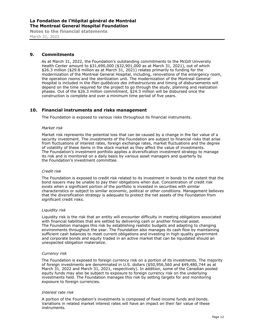# **La Fondation de l'Hôpital général de Montréal The Montreal General Hospital Foundation**

**Notes to the financial statements**  March 31, 2022

#### **9. Commitments**

As at March 31, 2022, the Foundation's outstanding commitments to the McGill University Health Center amount to \$31,690,000 (\$32,901,000 as at March 31, 2021), out of which \$26.3 million (\$29.8 million as at March 31, 2021) relates primarily to funding for the modernization of the Montreal General Hospital, including, renovations of the emergency room, the operation rooms and the sterilization unit. The modernization of the Montreal General Hospital is included in the *Plan québécois des infrastructures* and timing of disbursements will depend on the time required for the project to go through the study, planning and realization phases. Out of the \$26.3 million commitment, \$24.3 million will be disbursed once the construction is complete and over a minimum time period of five years.

#### **10. Financial instruments and risks management**

The Foundation is exposed to various risks throughout its financial instruments.

#### *Market risk*

Market risk represents the potential loss that can be caused by a change in the fair value of a security investment. The investments of the Foundation are subject to financial risks that arise from fluctuations of interest rates, foreign exchange rates, market fluctuations and the degree of volatility of these items in the stock market as they affect the value of investments. The Foundation's investment portfolio applies a diversification investment strategy to manage its risk and is monitored on a daily basis by various asset managers and quarterly by the Foundation's investment committee.

#### *Credit risk*

The Foundation is exposed to credit risk related to its investment in bonds to the extent that the bond issuers may be unable to pay their obligations when due. Concentration of credit risk exists when a significant portion of the portfolio is invested in securities with similar characteristics or subject to similar economic, political or other conditions. Management believes that the diversification strategy is adequate to protect the net assets of the Foundation from significant credit risks.

#### *Liquidity risk*

Liquidity risk is the risk that an entity will encounter difficulty in meeting obligations associated with financial liabilities that are settled by delivering cash or another financial asset. The Foundation manages this risk by establishing realistic budgets and adapting to changing environments throughout the year. The Foundation also manages its cash flow by maintaining sufficient cash balances to meet current obligations and investing in high-quality government and corporate bonds and equity traded in an active market that can be liquidated should an unexpected obligation materialize.

#### *Currency risk*

The Foundation is exposed to foreign currency risk on a portion of its investments. The majority of foreign investments are denominated in U.S. dollars (\$50,956,560 and \$49,480,744 as at March 31, 2022 and March 31, 2021, respectively). In addition, some of the Canadian pooled equity funds may also be subject to exposure to foreign currency risk on the underlying investments held. The Foundation manages this risk by setting targets for and monitoring exposure to foreign currencies.

#### *Interest rate risk*

A portion of the Foundation's investments is composed of fixed income funds and bonds. Variations in related market interest rates will have an impact on their fair value of these instruments.